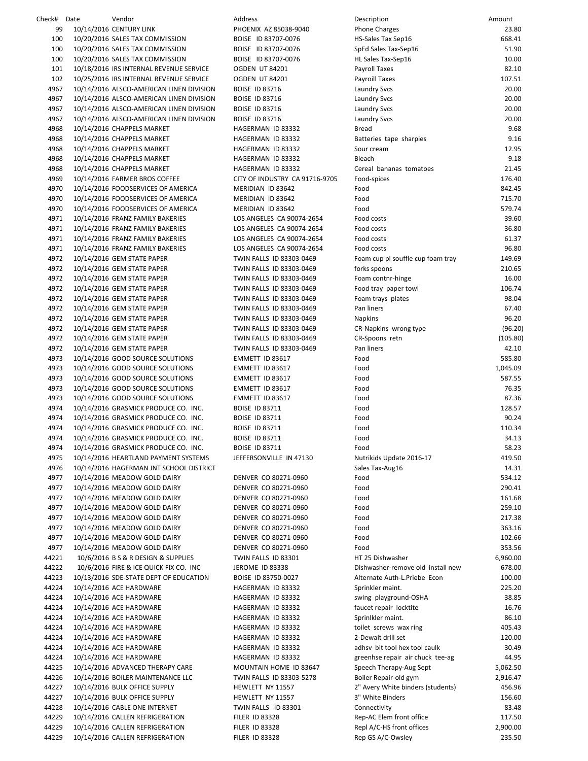Check# Date Vendor Address Description Amount 99 10/14/2016 CENTURY LINK PHOENIX AZ 85038-9040 P 100 10/20/2016 SALES TAX COMMISSION BOISE ID 83707-0076 HS 100 10/20/2016 SALES TAX COMMISSION BOISE ID 83707-0076 S 100 10/20/2016 SALES TAX COMMISSION BOISE ID 83707-0076 H 101 10/18/2016 IRS INTERNAL REVENUE SERVICE OGDEN UT 84201 P 102 10/25/2016 IRS INTERNAL REVENUE SERVICE OGDEN UT 84201 P 4967 10/14/2016 ALSCO-AMERICAN LINEN DIVISION BOISE ID 83716 LAUNDRY SAMPLE 4967 10/14/2016 ALSCO-AMERICAN LINEN DIVISION BOISE ID 83716 LAUNDRY SAMPLE 4967 10/14/2016 ALSCO-AMERICAN LINEN DIVISION BOISE ID 83716 LAUNDRY SAMPLE 4967 10/14/2016 ALSCO-AMERICAN LINEN DIVISION BOISE ID 83716 LAUNDRY SALL 4968 10/14/2016 CHAPPELS MARKET HAGERMAN ID 83332 B 4968 10/14/2016 CHAPPELS MARKET HAGERMAN ID 83332 B 4968 10/14/2016 CHAPPELS MARKET HAGERMAN ID 83332 S 4968 10/14/2016 CHAPPELS MARKET HAGERMAN ID 83332 B 4968 10/14/2016 CHAPPELS MARKET HAGERMAN ID 83332 Cereal bananas tomatoes 21.45 4969 10/14/2016 FARMER BROS COFFEE CITY OF INDUSTRY CA 91716-9705 F  $4970$   $10/14/2016$  FOODSERVICES OF AMERICA MERIDIAN ID 83642 4970 10/14/2016 FOODSERVICES OF AMERICA MERIDIAN ID 83642 Food 715. 70 4970 10/14/2016 FOODSERVICES OF AMERICA MERIDIAN ID 83642 F 4971 10/14/2016 FRANZ FAMILY BAKERIES LOS ANGELES CA 90074-2654 F 4971 10/14/2016 FRANZ FAMILY BAKERIES LOS ANGELES CA 90074-2654 F 4971 10/14/2016 FRANZ FAMILY BAKERIES LOS ANGELES CA 90074-2654 F 4971 10/14/2016 FRANZ FAMILY BAKERIES LOS ANGELES CA 90074-2654 F 4972 10/14/2016 GEM STATE PAPER TWIN FALLS ID 83303-0469 F 4972 10/14/2016 GEM STATE PAPER TWIN FALLS ID 83303‐0469 forks spoons 210.65 4972 10/14/2016 GEM STATE PAPER TWIN FALLS ID 83303-0469 F 4972 10/14/2016 GEM STATE PAPER TWIN FALLS ID 83303-0469 F 4972 10/14/2016 GEM STATE PAPER TWIN FALLS ID 83303-0469 F 4972 10/14/2016 GEM STATE PAPER TWIN FALLS ID 83303-0469 P 4972 10/14/2016 GEM STATE PAPER TWIN FALLS ID 83303‐0469 Napkins 96 .20 4972 10/14/2016 GEM STATE PAPER TWIN FALLS ID 83303-0469 C 4972 10/14/2016 GEM STATE PAPER TWIN FALLS ID 83303‐0469 CR‐Spoons retn (105.80) 4972 10/14/2016 GEM STATE PAPER TWIN FALLS ID 83303-0469 P 4973 10/14/2016 GOOD SOURCE SOLUTIONS FOR THE FORMETT ID 83617 4973 10/14/2016 GOOD SOURCE SOLUTIONS EMMETT ID 83617 F 4973 10/14/2016 GOOD SOURCE SOLUTIONS EMMETT ID 83617 FOR STATE STATES FOR STATES FOR STATES FOR STATES FOR ST 4973 10/14/2016 GOOD SOURCE SOLUTIONS EMMETT ID 83617 FOOD 76.35517 4973 10/14/2016 GOOD SOURCE SOLUTIONS EMMETT ID 83617 FOOD 87.3617 4974 10/14/2016 GRASMICK PRODUCE CO. INC. BOISE ID 83711 F 4974 10/14/2016 GRASMICK PRODUCE CO. INC. BOISE ID 83711 F 4974 10/14/2016 GRASMICK PRODUCE CO. INC. BOISE ID 83711 F 4974 10/14/2016 GRASMICK PRODUCE CO. INC. BOISE ID 83711 F 4974 10/14/2016 GRASMICK PRODUCE CO. INC. BOISE ID 83711 F 4975 10/14/2016 HEARTLAND PAYMENT SYSTEMS JEFFERSONVILLE IN 47130 N 4976 10/14/2016 HAGERMAN JNT SCHOOL DISTRICT SALES TAXES AND TAXABLE TAXES AND TAXABLE TAXABLE TAXABLE TAXABLE 4977 10/14/2016 MEADOW GOLD DAIRY DENVER CO 80271-0960 F 4977 10/14/2016 MEADOW GOLD DAIRY DENVER CO 80271-0960 F 4977 10/14/2016 MEADOW GOLD DAIRY DENVER CO 80271-0960 F 4977 10/14/2016 MEADOW GOLD DAIRY DENVER CO 80271-0960 F 4977 10/14/2016 MEADOW GOLD DAIRY DENVER CO 80271-0960 F 4977 10/14/2016 MEADOW GOLD DAIRY DENVER CO 80271-0960 F 4977 10/14/2016 MEADOW GOLD DAIRY DENVER CO 80271-0960 F 4977 10/14/2016 MEADOW GOLD DAIRY DENVER CO 80271-0960 F 44221 10/6/2016 B S & R DESIGN & SUPPLIES TWIN FALLS ID 83301 HT 44222 10/6/2016 FIRE & ICE QUICK FIX CO. INC JEROME ID 83338 Diskussed 44223 10/13/2016 SDE‐STATE DEPT OF EDUCATION BOISE ID 83750‐0027 A 44224 10/14/2016 ACE HARDWARE **HAGERMAN ID 83332** S<sub>i</sub> 44224 10/14/2016 ACE HARDWARE **HAGERMAN ID 83332** swing in the player of the player street in the player street in the player street in the player street in the player street in the player street in the player street in th 44224 10/14/2016 ACE HARDWARE **HAGERMAN ID 83332** fa 44224 10/14/2016 ACE HARDWARE HAGERMAN ID 83332 S 44224 10/14/2016 ACE HARDWARE **HAGERMAN ID 83332** to to 44224 10/14/2016 ACE HARDWARE HAGERMAN ID 83332 2012 44224 10/14/2016 ACE HARDWARE **HAGERMAN ID 83332** administrational distribution of 44224 10/14/2016 ACE HARDWARE HAGERMAN ID 83332 greenhaad af en andere represent tee repair tee and tee and te 44225 10/14/2016 ADVANCED THERAPY CARE MOUNTAIN HOME ID 83647 S 44226 10/14/2016 BOILER MAINTENANCE LLC TWIN FALLS ID 83303-5278 B 44227 10/14/2016 BULK OFFICE SUPPLY HEWLETT NY 11557 2 44227 10/14/2016 BULK OFFICE SUPPLY HEWLETT NY 11557 3 44228 10/14/2016 CABLE ONE INTERNET TWIN FALLS ID 83301 C 44229 10/14/2016 CALLEN REFRIGERATION FILER ID 83328 Rep. 10/14/2016 CALLEN REFRIGERATION 44229 10/14/2016 CALLEN REFRIGERATION FILER ID 83328 Repl A/C 44229 10/14/2016 CALLEN REFRIGERATION FILER ID 83328 R

| escription                                                      | Amount             |
|-----------------------------------------------------------------|--------------------|
| hone Charges                                                    | 23.80              |
| S-Sales Tax Sep16                                               | 668.41             |
| pEd Sales Tax-Sep16<br>L Sales Tax-Sep16                        | 51.90<br>10.00     |
| ayroll Taxes                                                    | 82.10              |
| ayroill Taxes                                                   | 107.51             |
| aundry Svcs                                                     | 20.00              |
| aundry Svcs                                                     | 20.00              |
| aundry Svcs                                                     | 20.00              |
| aundry Svcs                                                     | 20.00              |
| read                                                            | 9.68               |
| atteries tape sharpies                                          | 9.16               |
| our cream<br>leach                                              | 12.95<br>9.18      |
| ereal bananas tomatoes                                          | 21.45              |
| ood-spices                                                      | 176.40             |
| ood                                                             | 842.45             |
| ood                                                             | 715.70             |
| ood                                                             | 579.74             |
| ood costs                                                       | 39.60              |
| ood costs                                                       | 36.80              |
| ood costs                                                       | 61.37              |
| ood costs<br>oam cup pl souffle cup foam tray                   | 96.80<br>149.69    |
| orks spoons                                                     | 210.65             |
| oam contnr-hinge                                                | 16.00              |
| ood tray paper towl                                             | 106.74             |
| oam trays plates                                                | 98.04              |
| an liners                                                       | 67.40              |
| lapkins                                                         | 96.20              |
| R-Napkins wrong type                                            | (96.20)            |
| R-Spoons retn                                                   | (105.80)           |
| an liners                                                       | 42.10              |
| ood<br>ood                                                      | 585.80<br>1,045.09 |
| ood                                                             | 587.55             |
| ood                                                             | 76.35              |
| ood                                                             | 87.36              |
| ood                                                             | 128.57             |
| ood                                                             | 90.24              |
| ood                                                             | 110.34             |
| ood                                                             | 34.13              |
| ood                                                             | 58.23<br>419.50    |
| lutrikids Update 2016-17<br>ales Tax-Aug16                      | 14.31              |
| ood                                                             | 534.12             |
| ood                                                             | 290.41             |
| ood                                                             | 161.68             |
| ood                                                             | 259.10             |
| ood                                                             | 217.38             |
| ood                                                             | 363.16             |
| ood                                                             | 102.66             |
| ood<br>T 25 Dishwasher                                          | 353.56             |
| ishwasher-remove old install new                                | 6,960.00<br>678.00 |
| lternate Auth-L.Priebe Econ                                     | 100.00             |
| prinkler maint.                                                 | 225.20             |
| wing playground-OSHA                                            | 38.85              |
| aucet repair locktite                                           | 16.76              |
| prinlkler maint.                                                | 86.10              |
| pilet screws wax ring                                           | 405.43             |
| -Dewalt drill set                                               | 120.00             |
| dhsv bit tool hex tool caulk<br>reenhse repair air chuck tee-ag | 30.49<br>44.95     |
| peech Therapy-Aug Sept                                          | 5,062.50           |
| oiler Repair-old gym                                            | 2,916.47           |
| " Avery White binders (students)                                | 456.96             |
| " White Binders                                                 | 156.60             |
| onnectivity                                                     | 83.48              |
| ep-AC Elem front office                                         | 117.50             |
| epl A/C-HS front offices                                        | 2,900.00           |
| ep GS A/C-Owsley                                                | 235.50             |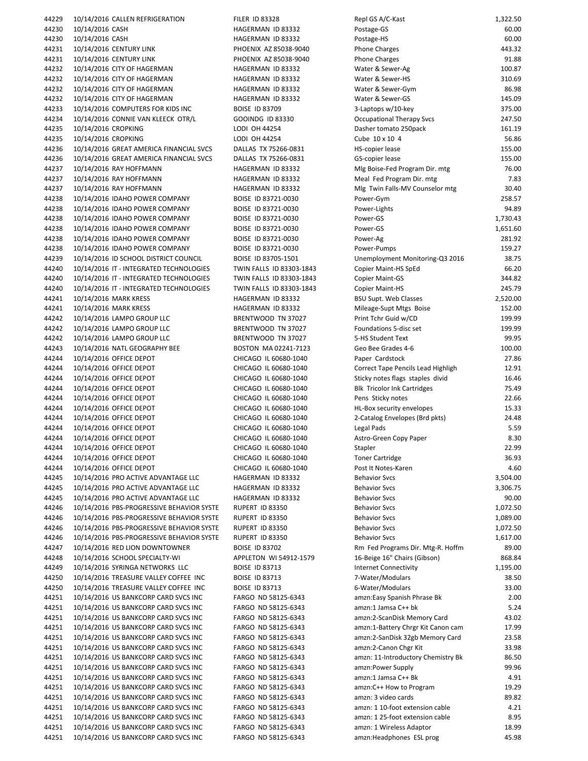44229 10/14/2016 CALLEN REFRIGERATION FILER ID 83328 Repl GS A/C 44230 10/14/2016 CASH HAGERMAN ID 83332 Postage‐GS 60.00 44230 10/14/2016 CASH HAGERMAN ID 83332 Postage‐HS 60.00 44231 10/14/2016 CENTURY LINK PHOENIX AZ 85038-9040 P 44231 10/14/2016 CENTURY LINK PHOENIX AZ 85038-9040 P 44232 10/14/2016 CITY OF HAGERMAN HAGERMAN ID 83332 W 44232 10/14/2016 CITY OF HAGERMAN HAGERMAN ID 83332 W 44232 10/14/2016 CITY OF HAGERMAN HAGERMAN HAGERMAN ID 83332 W 44232 10/14/2016 CITY OF HAGERMAN HAGERMAN ID 83332 V 44233 10/14/2016 COMPUTERS FOR KIDS INC BOISE ID 83709 3 44234 10/14/2016 CONNIE VAN KLEECK OTR/L GOOINDG ID 83330 O 44235 10/14/2016 CROPKING LODI OH 44254 Dasher tomato 250pack 161.1 9 44235 10/14/2016 CROPKING LODI OH 44254 Cube 10 x 10 4 56.86 44236 10/14/2016 GREAT AMERICA FINANCIAL SVCS DALLAS TX 75266-0831 HS 44236 10/14/2016 GREAT AMERICA FINANCIAL SVCS DALLAS TX 75266-0831 G 44237 10/14/2016 RAY HOFFMANN HAGERMAN ID 83332 M 44237 10/14/2016 RAY HOFFMANN HAGERMAN ID 83332 M 44237 10/14/2016 RAY HOFFMANN HAGERMAN ID 83332 M 44238 10/14/2016 IDAHO POWER COMPANY BOISE ID 83721-0030 P 44238 10/14/2016 IDAHO POWER COMPANY BOISE ID 83721-0030 P 44238 10/14/2016 IDAHO POWER COMPANY BOISE ID 83721-0030 P 44238 10/14/2016 IDAHO POWER COMPANY BOISE ID 83721-0030 P 44238 10/14/2016 IDAHO POWER COMPANY BOISE ID 83721-0030 P 44238 10/14/2016 IDAHO POWER COMPANY BOISE ID 83721-0030 P 44239 10/14/2016 ID SCHOOL DISTRICT COUNCIL BOISE ID 83705-1501 UNEMPLOYER 44240 10/14/2016 IT - INTEGRATED TECHNOLOGIES TWIN FALLS ID 83303-1843 C 44240 10/14/2016 IT - INTEGRATED TECHNOLOGIES TWIN FALLS ID 83303-1843 C 44240 10/14/2016 IT - INTEGRATED TECHNOLOGIES TWIN FALLS ID 83303-1843 C 44241 10/14/2016 MARK KRESS HAGERMAN ID 83332 B 44241 10/14/2016 MARK KRESS NEWSLAU HAGERMAN ID 83332 NEWSLAU 44242 10/14/2016 LAMPO GROUP LLC BRENTWOOD TN 37027 P 44242 10/14/2016 LAMPO GROUP LLC BRENTWOOD TN 37027 F 44242 10/14/2016 LAMPO GROUP LLC BRENTWOOD TN 37027 5 44243 10/14/2016 NATL GEOGRAPHY BEE BOSTON MA 02241-7123 G 44244 10/14/2016 OFFICE DEPOT CHICAGO IL 60680-1040 P 44244 10/14/2016 OFFICE DEPOT CHICAGO IL 60680-1040 C 44244 10/14/2016 OFFICE DEPOT CHICAGO IL 60680-1040 S 44244 10/14/2016 OFFICE DEPOT CHICAGO IL 60680-1040 B 44244 10/14/2016 OFFICE DEPOT CHICAGO IL 60680-1040 P 44244 10/14/2016 OFFICE DEPOT CHICAGO IL 60680-1040 H 44244 10/14/2016 OFFICE DEPOT CHICAGO IL 60680-1040 2 44244 10/14/2016 OFFICE DEPOT CHICAGO IL 60680-1040 L 44244 10/14/2016 OFFICE DEPOT CHICAGO IL 60680-1040 A 44244 10/14/2016 OFFICE DEPOT CHICAGO IL 60680-1040 S 44244 10/14/2016 OFFICE DEPOT CHICAGO IL 60680-1040 T 44244 10/14/2016 OFFICE DEPOT CHICAGO IL 60680-1040 P 44245 10/14/2016 PRO ACTIVE ADVANTAGE LLC HAGERMAN ID 83332 B 44245 10/14/2016 PRO ACTIVE ADVANTAGE LLC BAGERMAN ID 83332 B 44245 10/14/2016 PRO ACTIVE ADVANTAGE LLC BAGERMAN ID 83332 B 44246 10/14/2016 PBS-PROGRESSIVE BEHAVIOR SYSTE RUPERT ID 83350 B 44246 10/14/2016 PBS-PROGRESSIVE BEHAVIOR SYSTE RUPERT ID 83350 B 44246 10/14/2016 PBS-PROGRESSIVE BEHAVIOR SYSTE RUPERT ID 83350 B 44246 10/14/2016 PBS-PROGRESSIVE BEHAVIOR SYSTE RUPERT ID 83350 B 44247 10/14/2016 RED LION DOWNTOWNER BOISE ID 83702 RM 44248 10/14/2016 SCHOOL SPECIALTY-WI APPLETON WI 54912-1579 16 44249 10/14/2016 SYRINGA NETWORKS LLC BOISE ID 83713 Internet Connection Internet Connection Internet Connectivity Internet Connectivity 1,195.000 Internet Connectivity Internet Connectivity 1,195.000 Internet Connectivity 44250 10/14/2016 TREASURE VALLEY COFFEE INC BOISE ID 83713 7 44250 10/14/2016 TREASURE VALLEY COFFEE INC BOISE ID 83713 66 44251 10/14/2016 US BANKCORP CARD SVCS INC FARGO ND 58125-6343 am 44251 10/14/2016 US BANKCORP CARD SVCS INC FARGO ND 58125-6343 am 44251 10/14/2016 US BANKCORP CARD SVCS INC FARGO ND 58125-6343 44251 10/14/2016 US BANKCORP CARD SVCS INC FARGO ND 58125-6343 amazon: 44251 10/14/2016 US BANKCORP CARD SVCS INC FARGO ND 58125-6343 amazon: 44251 10/14/2016 US BANKCORP CARD SVCS INC FARGO ND 58125-6343 amazon: 14251 10/14/2016 US BANKCORP CARD SVCS INC FARGO ND 58125-6343 amazon: 116 44251 10/14/2016 US BANKCORP CARD SVCS INC FARGO ND 58125-6343 am 44251 10/14/2016 US BANKCORP CARD SVCS INC FARGO ND 58125-6343 am 44251 10/14/2016 US BANKCORP CARD SVCS INC FARGO ND 58125-6343 among to Program 19.299 am 44251 10/14/2016 US BANKCORP CARD SVCS INC FARGO ND 58125-6343 amazon: 3 44251 10/14/2016 US BANKCORP CARD SVCS INC FARGO ND 58125-6343 amazon: 1 10/14/2016 US BANKCORP CARD SVCS INC 44251 10/14/2016 US BANKCORP CARD SVCS INC FARGO ND 58125-6343 am 44251 10/14/2016 US BANKCORP CARD SVCS INC FARGO ND 58125-6343 amazon: 1 amazon: 1 Wireless Adaptor 1 44251 10/14/2016 US BANKCORP CARD SVCS INC FARGO ND 58125-6343 amazon: Headphones and F

| epl GS A/C-Kast                                                                        | 1,322.50         |
|----------------------------------------------------------------------------------------|------------------|
| ostage-GS                                                                              | 60.00            |
| ostage-HS                                                                              | 60.00            |
| hone Charges<br>hone Charges                                                           | 443.32<br>91.88  |
| Vater & Sewer-Ag                                                                       | 100.87           |
| Vater & Sewer-HS                                                                       | 310.69           |
| Vater & Sewer-Gym                                                                      | 86.98            |
| Vater & Sewer-GS                                                                       | 145.09           |
| -Laptops w/10-key                                                                      | 375.00           |
| <b>Ccupational Therapy Svcs</b>                                                        | 247.50           |
| asher tomato 250pack                                                                   | 161.19           |
| ube 10 x 10 4                                                                          | 56.86            |
| <b>S-copier lease</b>                                                                  | 155.00<br>155.00 |
| S-copier lease<br>Alg Boise-Fed Program Dir. mtg                                       | 76.00            |
| Aeal Fed Program Dir. mtg                                                              | 7.83             |
| Alg Twin Falls-MV Counselor mtg                                                        | 30.40            |
| ower-Gym                                                                               | 258.57           |
| ower-Lights                                                                            | 94.89            |
| ower-GS                                                                                | 1,730.43         |
| ower-GS                                                                                | 1,651.60         |
| ower-Ag                                                                                | 281.92           |
| ower-Pumps<br>Inemployment Monitoring-Q3 2016                                          | 159.27<br>38.75  |
| opier Maint-HS SpEd                                                                    | 66.20            |
| opier Maint-GS                                                                         | 344.82           |
| opier Maint-HS                                                                         | 245.79           |
| SU Supt. Web Classes                                                                   | 2,520.00         |
| Aileage-Supt Mtgs Boise                                                                | 152.00           |
| rint Tchr Guid w/CD                                                                    | 199.99           |
| oundations 5-disc set                                                                  | 199.99           |
| -HS Student Text                                                                       | 99.95            |
| ieo Bee Grades 4-6<br>aper Cardstock                                                   | 100.00<br>27.86  |
| orrect Tape Pencils Lead Highligh                                                      | 12.91            |
| ticky notes flags staples divid                                                        | 16.46            |
| Ik Tricolor Ink Cartridges                                                             | 75.49            |
| ens Sticky notes                                                                       | 22.66            |
| L-Box security envelopes                                                               | 15.33            |
| -Catalog Envelopes (Brd pkts)                                                          | 24.48            |
| egal Pads                                                                              | 5.59             |
| stro-Green Copy Paper.                                                                 | 8.30             |
| tapler<br>oner Cartridge                                                               | 22.99<br>36.93   |
| ost It Notes-Karen                                                                     | 4.60             |
| ehavior Svcs                                                                           | 3,504.00         |
| ehavior Svcs                                                                           | 3,306.75         |
| ehavior Svcs                                                                           | 90.00            |
| ehavior Svcs                                                                           | 1,072.50         |
| ehavior Svcs                                                                           | 1,089.00         |
| ehavior Svcs                                                                           | 1,072.50         |
| ehavior Svcs<br>m Fed Programs Dir. Mtg-R. Hoffm                                       | 1,617.00         |
| 6-Beige 16" Chairs (Gibson)                                                            | 89.00<br>868.84  |
| nternet Connectivity                                                                   | 1,195.00         |
| -Water/Modulars                                                                        | 38.50            |
| -Water/Modulars                                                                        | 33.00            |
| mzn:Easy Spanish Phrase Bk                                                             | 2.00             |
| mzn:1 Jamsa C++ bk                                                                     | 5.24             |
| mzn:2-ScanDisk Memory Card                                                             | 43.02            |
| mzn:1-Battery Chrgr Kit Canon cam                                                      | 17.99            |
| mzn:2-SanDisk 32gb Memory Card                                                         | 23.58            |
| mzn:2-Canon Chgr Kit<br>mzn: 11-Introductory Chemistry Bk                              | 33.98            |
|                                                                                        |                  |
|                                                                                        | 86.50            |
|                                                                                        | 99.96<br>4.91    |
|                                                                                        | 19.29            |
| mzn:Power Supply<br>mzn:1 Jamsa C++ Bk<br>mzn:C++ How to Program<br>mzn: 3 video cards | 89.82            |
| mzn: 1 10-foot extension cable                                                         | 4.21             |
|                                                                                        | 8.95             |
| mzn: 1 25-foot extension cable<br>mzn: 1 Wireless Adaptor<br>mzn:Headphones ESL prog   | 18.99<br>45.98   |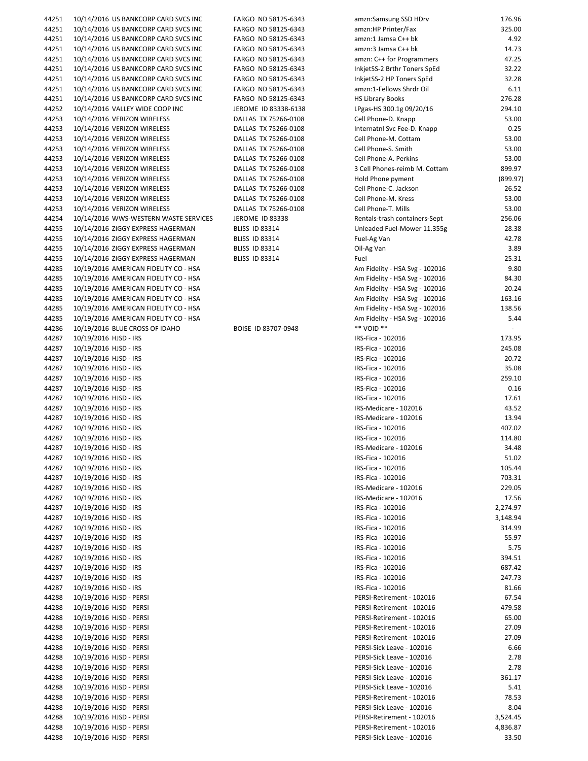| 44251 | 10/14/2016 US BANKCORP CARD SVCS INC  | FARGO ND 58125-6343   | amzn:Samsung SSD HDrv          | 176.96   |
|-------|---------------------------------------|-----------------------|--------------------------------|----------|
|       |                                       |                       |                                |          |
| 44251 | 10/14/2016 US BANKCORP CARD SVCS INC  | FARGO ND 58125-6343   | amzn:HP Printer/Fax            | 325.00   |
| 44251 | 10/14/2016 US BANKCORP CARD SVCS INC  | FARGO ND 58125-6343   | amzn:1 Jamsa C++ bk            | 4.92     |
| 44251 | 10/14/2016 US BANKCORP CARD SVCS INC  | FARGO ND 58125-6343   | amzn:3 Jamsa C++ bk            | 14.73    |
| 44251 | 10/14/2016 US BANKCORP CARD SVCS INC  | FARGO ND 58125-6343   | amzn: C++ for Programmers      | 47.25    |
|       |                                       |                       |                                |          |
| 44251 | 10/14/2016 US BANKCORP CARD SVCS INC  | FARGO ND 58125-6343   | InkjetSS-2 Brthr Toners SpEd   | 32.22    |
| 44251 | 10/14/2016 US BANKCORP CARD SVCS INC  | FARGO ND 58125-6343   | InkjetSS-2 HP Toners SpEd      | 32.28    |
| 44251 | 10/14/2016 US BANKCORP CARD SVCS INC  | FARGO ND 58125-6343   | amzn:1-Fellows Shrdr Oil       | 6.11     |
| 44251 | 10/14/2016 US BANKCORP CARD SVCS INC  | FARGO ND 58125-6343   | <b>HS Library Books</b>        | 276.28   |
|       |                                       |                       |                                |          |
| 44252 | 10/14/2016 VALLEY WIDE COOP INC       | JEROME ID 83338-6138  | LPgas-HS 300.1g 09/20/16       | 294.10   |
| 44253 | 10/14/2016 VERIZON WIRELESS           | DALLAS TX 75266-0108  | Cell Phone-D. Knapp            | 53.00    |
| 44253 | 10/14/2016 VERIZON WIRELESS           | DALLAS TX 75266-0108  | Internatnl Svc Fee-D. Knapp    | 0.25     |
| 44253 | 10/14/2016 VERIZON WIRELESS           | DALLAS TX 75266-0108  | Cell Phone-M. Cottam           | 53.00    |
|       |                                       |                       |                                |          |
| 44253 | 10/14/2016 VERIZON WIRELESS           | DALLAS TX 75266-0108  | Cell Phone-S. Smith            | 53.00    |
| 44253 | 10/14/2016 VERIZON WIRELESS           | DALLAS TX 75266-0108  | Cell Phone-A. Perkins          | 53.00    |
| 44253 | 10/14/2016 VERIZON WIRELESS           | DALLAS TX 75266-0108  | 3 Cell Phones-reimb M. Cottam  | 899.97   |
| 44253 | 10/14/2016 VERIZON WIRELESS           | DALLAS TX 75266-0108  | Hold Phone pyment              | (899.97) |
|       |                                       |                       |                                | 26.52    |
| 44253 | 10/14/2016 VERIZON WIRELESS           | DALLAS TX 75266-0108  | Cell Phone-C. Jackson          |          |
| 44253 | 10/14/2016 VERIZON WIRELESS           | DALLAS TX 75266-0108  | Cell Phone-M. Kress            | 53.00    |
| 44253 | 10/14/2016 VERIZON WIRELESS           | DALLAS TX 75266-0108  | Cell Phone-T. Mills            | 53.00    |
| 44254 | 10/14/2016 WWS-WESTERN WASTE SERVICES | JEROME ID 83338       | Rentals-trash containers-Sept  | 256.06   |
| 44255 | 10/14/2016 ZIGGY EXPRESS HAGERMAN     | <b>BLISS ID 83314</b> | Unleaded Fuel-Mower 11.355g    | 28.38    |
|       |                                       |                       |                                |          |
| 44255 | 10/14/2016 ZIGGY EXPRESS HAGERMAN     | <b>BLISS ID 83314</b> | Fuel-Ag Van                    | 42.78    |
| 44255 | 10/14/2016 ZIGGY EXPRESS HAGERMAN     | <b>BLISS ID 83314</b> | Oil-Ag Van                     | 3.89     |
| 44255 | 10/14/2016 ZIGGY EXPRESS HAGERMAN     | <b>BLISS ID 83314</b> | Fuel                           | 25.31    |
| 44285 | 10/19/2016 AMERICAN FIDELITY CO - HSA |                       | Am Fidelity - HSA Svg - 102016 | 9.80     |
|       |                                       |                       |                                |          |
| 44285 | 10/19/2016 AMERICAN FIDELITY CO - HSA |                       | Am Fidelity - HSA Svg - 102016 | 84.30    |
| 44285 | 10/19/2016 AMERICAN FIDELITY CO - HSA |                       | Am Fidelity - HSA Svg - 102016 | 20.24    |
| 44285 | 10/19/2016 AMERICAN FIDELITY CO - HSA |                       | Am Fidelity - HSA Svg - 102016 | 163.16   |
| 44285 | 10/19/2016 AMERICAN FIDELITY CO - HSA |                       | Am Fidelity - HSA Svg - 102016 | 138.56   |
|       |                                       |                       |                                |          |
| 44285 | 10/19/2016 AMERICAN FIDELITY CO - HSA |                       | Am Fidelity - HSA Svg - 102016 | 5.44     |
| 44286 | 10/19/2016 BLUE CROSS OF IDAHO        | BOISE ID 83707-0948   | ** VOID **                     | $\omega$ |
| 44287 | 10/19/2016 HJSD - IRS                 |                       | IRS-Fica - 102016              | 173.95   |
| 44287 | 10/19/2016 HJSD - IRS                 |                       | IRS-Fica - 102016              | 245.08   |
|       |                                       |                       |                                |          |
| 44287 | 10/19/2016 HJSD - IRS                 |                       | IRS-Fica - 102016              | 20.72    |
| 44287 | 10/19/2016 HJSD - IRS                 |                       | IRS-Fica - 102016              | 35.08    |
| 44287 | 10/19/2016 HJSD - IRS                 |                       | IRS-Fica - 102016              | 259.10   |
| 44287 | 10/19/2016 HJSD - IRS                 |                       | IRS-Fica - 102016              | 0.16     |
|       |                                       |                       |                                |          |
| 44287 | 10/19/2016 HJSD - IRS                 |                       | IRS-Fica - 102016              | 17.61    |
| 44287 | 10/19/2016 HJSD - IRS                 |                       | IRS-Medicare - 102016          | 43.52    |
| 44287 | 10/19/2016 HJSD - IRS                 |                       | IRS-Medicare - 102016          | 13.94    |
| 44287 | 10/19/2016 HJSD - IRS                 |                       | IRS-Fica - 102016              | 407.02   |
| 44287 | 10/19/2016 HJSD - IRS                 |                       |                                | 114.80   |
|       |                                       |                       | IRS-Fica - 102016              |          |
| 44287 | 10/19/2016 HJSD - IRS                 |                       | IRS-Medicare - 102016          | 34.48    |
| 44287 | 10/19/2016 HJSD - IRS                 |                       | IRS-Fica - 102016              | 51.02    |
| 44287 | 10/19/2016 HJSD - IRS                 |                       | IRS-Fica - 102016              | 105.44   |
| 44287 | 10/19/2016 HJSD - IRS                 |                       | IRS-Fica - 102016              | 703.31   |
|       |                                       |                       |                                |          |
| 44287 | 10/19/2016 HJSD - IRS                 |                       | IRS-Medicare - 102016          | 229.05   |
| 44287 | 10/19/2016 HJSD - IRS                 |                       | IRS-Medicare - 102016          | 17.56    |
| 44287 | 10/19/2016 HJSD - IRS                 |                       | IRS-Fica - 102016              | 2,274.97 |
| 44287 | 10/19/2016 HJSD - IRS                 |                       |                                | 3,148.94 |
|       |                                       |                       | IRS-Fica - 102016              |          |
| 44287 | 10/19/2016 HJSD - IRS                 |                       | IRS-Fica - 102016              | 314.99   |
| 44287 | 10/19/2016 HJSD - IRS                 |                       | IRS-Fica - 102016              | 55.97    |
| 44287 | 10/19/2016 HJSD - IRS                 |                       | IRS-Fica - 102016              | 5.75     |
| 44287 | 10/19/2016 HJSD - IRS                 |                       | IRS-Fica - 102016              | 394.51   |
|       |                                       |                       |                                |          |
| 44287 | 10/19/2016 HJSD - IRS                 |                       | IRS-Fica - 102016              | 687.42   |
| 44287 | 10/19/2016 HJSD - IRS                 |                       | IRS-Fica - 102016              | 247.73   |
| 44287 | 10/19/2016 HJSD - IRS                 |                       | IRS-Fica - 102016              | 81.66    |
| 44288 | 10/19/2016 HJSD - PERSI               |                       | PERSI-Retirement - 102016      | 67.54    |
|       |                                       |                       |                                |          |
| 44288 | 10/19/2016 HJSD - PERSI               |                       | PERSI-Retirement - 102016      | 479.58   |
| 44288 | 10/19/2016 HJSD - PERSI               |                       | PERSI-Retirement - 102016      | 65.00    |
| 44288 | 10/19/2016 HJSD - PERSI               |                       | PERSI-Retirement - 102016      | 27.09    |
| 44288 | 10/19/2016 HJSD - PERSI               |                       | PERSI-Retirement - 102016      | 27.09    |
| 44288 | 10/19/2016 HJSD - PERSI               |                       |                                | 6.66     |
|       |                                       |                       | PERSI-Sick Leave - 102016      |          |
| 44288 | 10/19/2016 HJSD - PERSI               |                       | PERSI-Sick Leave - 102016      | 2.78     |
| 44288 | 10/19/2016 HJSD - PERSI               |                       | PERSI-Sick Leave - 102016      | 2.78     |
| 44288 | 10/19/2016 HJSD - PERSI               |                       | PERSI-Sick Leave - 102016      | 361.17   |
| 44288 | 10/19/2016 HJSD - PERSI               |                       | PERSI-Sick Leave - 102016      | 5.41     |
|       |                                       |                       |                                |          |
| 44288 | 10/19/2016 HJSD - PERSI               |                       | PERSI-Retirement - 102016      | 78.53    |
| 44288 | 10/19/2016 HJSD - PERSI               |                       | PERSI-Sick Leave - 102016      | 8.04     |
| 44288 | 10/19/2016 HJSD - PERSI               |                       | PERSI-Retirement - 102016      | 3,524.45 |
| 44288 | 10/19/2016 HJSD - PERSI               |                       | PERSI-Retirement - 102016      | 4,836.87 |
|       |                                       |                       |                                |          |
| 44288 | 10/19/2016 HJSD - PERSI               |                       | PERSI-Sick Leave - 102016      | 33.50    |

| amzn:Samsung SSD HDrv          | 176.90   |
|--------------------------------|----------|
| amzn:HP Printer/Fax            | 325.00   |
| amzn:1 Jamsa C++ bk            | 4.92     |
| amzn:3 Jamsa C++ bk            | 14.73    |
| amzn: C++ for Programmers      | 47.25    |
|                                | 32.22    |
| InkjetSS-2 Brthr Toners SpEd   |          |
| InkjetSS-2 HP Toners SpEd      | 32.28    |
| amzn:1-Fellows Shrdr Oil       | 6.11     |
| <b>HS Library Books</b>        | 276.28   |
| LPgas-HS 300.1g 09/20/16       | 294.10   |
| Cell Phone-D. Knapp            | 53.00    |
|                                |          |
| Internatnl Svc Fee-D. Knapp    | 0.25     |
| Cell Phone-M. Cottam           | 53.00    |
| Cell Phone-S. Smith            | 53.00    |
| Cell Phone-A. Perkins          | 53.00    |
| 3 Cell Phones-reimb M. Cottam  | 899.97   |
| Hold Phone pyment              | (899.97) |
|                                |          |
| Cell Phone-C. Jackson          | 26.52    |
| Cell Phone-M. Kress            | 53.00    |
| Cell Phone-T. Mills            | 53.00    |
| Rentals-trash containers-Sept  | 256.06   |
| Unleaded Fuel-Mower 11.355g    | 28.38    |
|                                |          |
| Fuel-Ag Van                    | 42.78    |
| Oil-Ag Van                     | 3.89     |
| Fuel                           | 25.31    |
| Am Fidelity - HSA Svg - 102016 | 9.80     |
| Am Fidelity - HSA Svg - 102016 | 84.30    |
|                                | 20.24    |
| Am Fidelity - HSA Svg - 102016 |          |
| Am Fidelity - HSA Svg - 102016 | 163.16   |
| Am Fidelity - HSA Svg - 102016 | 138.56   |
| Am Fidelity - HSA Svg - 102016 | 5.44     |
| ** VOID **                     | ÷,       |
| IRS-Fica - 102016              | 173.95   |
|                                |          |
| IRS-Fica - 102016              | 245.08   |
| IRS-Fica - 102016              | 20.72    |
| IRS-Fica - 102016              | 35.08    |
| IRS-Fica - 102016              | 259.10   |
| IRS-Fica - 102016              | 0.16     |
| IRS-Fica - 102016              | 17.61    |
|                                |          |
| IRS-Medicare - 102016          | 43.52    |
| IRS-Medicare - 102016          | 13.94    |
| IRS-Fica - 102016              | 407.02   |
| IRS-Fica - 102016              | 114.80   |
| IRS-Medicare - 102016          | 34.48    |
|                                |          |
| IRS-Fica - 102016              | 51.02    |
| IRS-Fica - 102016              | 105.44   |
| IRS-Fica - 102016              | 703.31   |
| IRS-Medicare - 102016          | 229.05   |
| IRS-Medicare - 102016          | 17.56    |
| IRS-Fica - 102016              | 2,274.97 |
|                                |          |
| IRS-Fica - 102016              | 3,148.94 |
| IRS-Fica - 102016              | 314.99   |
| IRS-Fica - 102016              | 55.97    |
| IRS-Fica - 102016              | 5.75     |
| IRS-Fica - 102016              | 394.51   |
| IRS-Fica - 102016              | 687.42   |
|                                |          |
| IRS-Fica - 102016              | 247.73   |
| IRS-Fica - 102016              | 81.66    |
| PERSI-Retirement - 102016      | 67.54    |
| PERSI-Retirement - 102016      | 479.58   |
| PERSI-Retirement - 102016      | 65.00    |
|                                |          |
| PERSI-Retirement - 102016      | 27.09    |
| PERSI-Retirement - 102016      | 27.09    |
| PERSI-Sick Leave - 102016      | 6.66     |
| PERSI-Sick Leave - 102016      | 2.78     |
| PERSI-Sick Leave - 102016      | 2.78     |
| PERSI-Sick Leave - 102016      | 361.17   |
|                                |          |
| PERSI-Sick Leave - 102016      | 5.41     |
| PERSI-Retirement - 102016      | 78.53    |
| PERSI-Sick Leave - 102016      | 8.04     |
| PERSI-Retirement - 102016      | 3,524.45 |
| PERSI-Retirement - 102016      | 4,836.87 |
| PERSI-Sick Leave - 102016      | 33.50    |
|                                |          |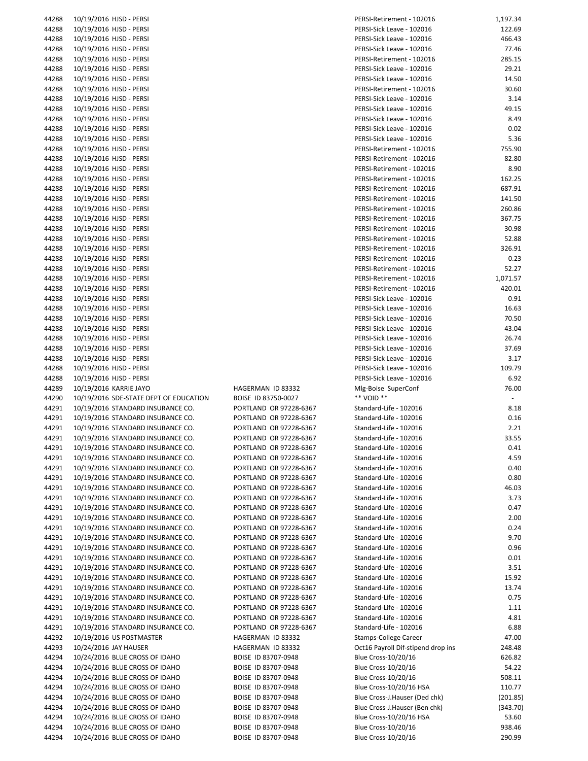| 44288          | 10/19/2016 HJSD - PERSI                                          |                                            | PERSI-Retirement - 102016                  | 1,197.34         |
|----------------|------------------------------------------------------------------|--------------------------------------------|--------------------------------------------|------------------|
| 44288          | 10/19/2016 HJSD - PERSI                                          |                                            | PERSI-Sick Leave - 102016                  | 122.69           |
| 44288          | 10/19/2016 HJSD - PERSI                                          |                                            | PERSI-Sick Leave - 102016                  | 466.43           |
| 44288          |                                                                  |                                            |                                            |                  |
|                | 10/19/2016 HJSD - PERSI                                          |                                            | PERSI-Sick Leave - 102016                  | 77.46            |
| 44288          | 10/19/2016 HJSD - PERSI                                          |                                            | PERSI-Retirement - 102016                  | 285.15           |
| 44288          | 10/19/2016 HJSD - PERSI                                          |                                            | PERSI-Sick Leave - 102016                  | 29.21            |
| 44288          | 10/19/2016 HJSD - PERSI                                          |                                            | PERSI-Sick Leave - 102016                  | 14.50            |
| 44288          | 10/19/2016 HJSD - PERSI                                          |                                            | PERSI-Retirement - 102016                  | 30.60            |
|                |                                                                  |                                            |                                            |                  |
| 44288          | 10/19/2016 HJSD - PERSI                                          |                                            | PERSI-Sick Leave - 102016                  | 3.14             |
| 44288          | 10/19/2016 HJSD - PERSI                                          |                                            | PERSI-Sick Leave - 102016                  | 49.15            |
| 44288          | 10/19/2016 HJSD - PERSI                                          |                                            | PERSI-Sick Leave - 102016                  | 8.49             |
| 44288          | 10/19/2016 HJSD - PERSI                                          |                                            | PERSI-Sick Leave - 102016                  | 0.02             |
|                |                                                                  |                                            |                                            |                  |
| 44288          | 10/19/2016 HJSD - PERSI                                          |                                            | PERSI-Sick Leave - 102016                  | 5.36             |
| 44288          | 10/19/2016 HJSD - PERSI                                          |                                            | PERSI-Retirement - 102016                  | 755.90           |
| 44288          | 10/19/2016 HJSD - PERSI                                          |                                            | PERSI-Retirement - 102016                  | 82.80            |
| 44288          | 10/19/2016 HJSD - PERSI                                          |                                            | PERSI-Retirement - 102016                  | 8.90             |
| 44288          | 10/19/2016 HJSD - PERSI                                          |                                            | PERSI-Retirement - 102016                  | 162.25           |
|                |                                                                  |                                            |                                            |                  |
| 44288          | 10/19/2016 HJSD - PERSI                                          |                                            | PERSI-Retirement - 102016                  | 687.91           |
| 44288          | 10/19/2016 HJSD - PERSI                                          |                                            | PERSI-Retirement - 102016                  | 141.50           |
| 44288          | 10/19/2016 HJSD - PERSI                                          |                                            | PERSI-Retirement - 102016                  | 260.86           |
| 44288          | 10/19/2016 HJSD - PERSI                                          |                                            | PERSI-Retirement - 102016                  | 367.75           |
|                |                                                                  |                                            |                                            |                  |
| 44288          | 10/19/2016 HJSD - PERSI                                          |                                            | PERSI-Retirement - 102016                  | 30.98            |
| 44288          | 10/19/2016 HJSD - PERSI                                          |                                            | PERSI-Retirement - 102016                  | 52.88            |
| 44288          | 10/19/2016 HJSD - PERSI                                          |                                            | PERSI-Retirement - 102016                  | 326.91           |
| 44288          | 10/19/2016 HJSD - PERSI                                          |                                            | PERSI-Retirement - 102016                  | 0.23             |
| 44288          | 10/19/2016 HJSD - PERSI                                          |                                            | PERSI-Retirement - 102016                  | 52.27            |
|                |                                                                  |                                            |                                            |                  |
| 44288          | 10/19/2016 HJSD - PERSI                                          |                                            | PERSI-Retirement - 102016                  | 1,071.57         |
| 44288          | 10/19/2016 HJSD - PERSI                                          |                                            | PERSI-Retirement - 102016                  | 420.01           |
| 44288          | 10/19/2016 HJSD - PERSI                                          |                                            | PERSI-Sick Leave - 102016                  | 0.91             |
| 44288          | 10/19/2016 HJSD - PERSI                                          |                                            | PERSI-Sick Leave - 102016                  | 16.63            |
|                |                                                                  |                                            |                                            | 70.50            |
| 44288          | 10/19/2016 HJSD - PERSI                                          |                                            | PERSI-Sick Leave - 102016                  |                  |
| 44288          | 10/19/2016 HJSD - PERSI                                          |                                            | PERSI-Sick Leave - 102016                  | 43.04            |
| 44288          | 10/19/2016 HJSD - PERSI                                          |                                            | PERSI-Sick Leave - 102016                  | 26.74            |
| 44288          | 10/19/2016 HJSD - PERSI                                          |                                            | PERSI-Sick Leave - 102016                  | 37.69            |
| 44288          | 10/19/2016 HJSD - PERSI                                          |                                            | PERSI-Sick Leave - 102016                  | 3.17             |
|                |                                                                  |                                            |                                            |                  |
| 44288          | 10/19/2016 HJSD - PERSI                                          |                                            | PERSI-Sick Leave - 102016                  | 109.79           |
| 44288          | 10/19/2016 HJSD - PERSI                                          |                                            | PERSI-Sick Leave - 102016                  | 6.92             |
| 44289          | 10/19/2016 KARRIE JAYO                                           | HAGERMAN ID 83332                          | Mlg-Boise SuperConf                        | 76.00            |
| 44290          | 10/19/2016 SDE-STATE DEPT OF EDUCATION                           | BOISE ID 83750-0027                        | ** VOID **                                 |                  |
|                |                                                                  |                                            |                                            |                  |
| 44291          | 10/19/2016 STANDARD INSURANCE CO.                                | PORTLAND OR 97228-6367                     | Standard-Life - 102016                     | 8.18             |
| 44291          | 10/19/2016 STANDARD INSURANCE CO.                                | PORTLAND OR 97228-6367                     | Standard-Life - 102016                     | 0.16             |
| 44291          | 10/19/2016 STANDARD INSURANCE CO.                                | PORTLAND OR 97228-6367                     | Standard-Life - 102016                     | 2.21             |
| 44291          | 10/19/2016 STANDARD INSURANCE CO.                                | PORTLAND OR 97228-6367                     | Standard-Life - 102016                     | 33.55            |
| 44291          | 10/19/2016 STANDARD INSURANCE CO.                                | PORTLAND OR 97228-6367                     | Standard-Life - 102016                     | 0.41             |
|                |                                                                  |                                            |                                            |                  |
| 44291          | 10/19/2016 STANDARD INSURANCE CO.                                | PORTLAND OR 97228-6367                     | Standard-Life - 102016                     | 4.59             |
| 44291          | 10/19/2016 STANDARD INSURANCE CO.                                | PORTLAND OR 97228-6367                     | Standard-Life - 102016                     | 0.40             |
| 44291          | 10/19/2016 STANDARD INSURANCE CO.                                | PORTLAND OR 97228-6367                     | Standard-Life - 102016                     | 0.80             |
| 44291          | 10/19/2016 STANDARD INSURANCE CO.                                | PORTLAND OR 97228-6367                     | Standard-Life - 102016                     | 46.03            |
|                |                                                                  | PORTLAND OR 97228-6367                     |                                            | 3.73             |
| 44291          | 10/19/2016 STANDARD INSURANCE CO.                                |                                            | Standard-Life - 102016                     |                  |
| 44291          | 10/19/2016 STANDARD INSURANCE CO.                                | PORTLAND OR 97228-6367                     | Standard-Life - 102016                     | 0.47             |
| 44291          | 10/19/2016 STANDARD INSURANCE CO.                                | PORTLAND OR 97228-6367                     | Standard-Life - 102016                     | 2.00             |
| 44291          | 10/19/2016 STANDARD INSURANCE CO.                                | PORTLAND OR 97228-6367                     | Standard-Life - 102016                     | 0.24             |
| 44291          | 10/19/2016 STANDARD INSURANCE CO.                                | PORTLAND OR 97228-6367                     | Standard-Life - 102016                     | 9.70             |
|                |                                                                  |                                            |                                            |                  |
| 44291          | 10/19/2016 STANDARD INSURANCE CO.                                | PORTLAND OR 97228-6367                     | Standard-Life - 102016                     | 0.96             |
| 44291          | 10/19/2016 STANDARD INSURANCE CO.                                | PORTLAND OR 97228-6367                     | Standard-Life - 102016                     | 0.01             |
| 44291          | 10/19/2016 STANDARD INSURANCE CO.                                | PORTLAND OR 97228-6367                     | Standard-Life - 102016                     | 3.51             |
| 44291          | 10/19/2016 STANDARD INSURANCE CO.                                | PORTLAND OR 97228-6367                     | Standard-Life - 102016                     | 15.92            |
| 44291          | 10/19/2016 STANDARD INSURANCE CO.                                | PORTLAND OR 97228-6367                     | Standard-Life - 102016                     | 13.74            |
|                |                                                                  |                                            |                                            |                  |
| 44291          | 10/19/2016 STANDARD INSURANCE CO.                                | PORTLAND OR 97228-6367                     | Standard-Life - 102016                     | 0.75             |
| 44291          |                                                                  |                                            |                                            |                  |
|                | 10/19/2016 STANDARD INSURANCE CO.                                | PORTLAND OR 97228-6367                     | Standard-Life - 102016                     | 1.11             |
| 44291          | 10/19/2016 STANDARD INSURANCE CO.                                | PORTLAND OR 97228-6367                     | Standard-Life - 102016                     | 4.81             |
|                |                                                                  |                                            |                                            |                  |
| 44291          | 10/19/2016 STANDARD INSURANCE CO.                                | PORTLAND OR 97228-6367                     | Standard-Life - 102016                     | 6.88             |
| 44292          | 10/19/2016 US POSTMASTER                                         | HAGERMAN ID 83332                          | Stamps-College Career                      | 47.00            |
| 44293          | 10/24/2016 JAY HAUSER                                            | HAGERMAN ID 83332                          | Oct16 Payroll Dif-stipend drop ins         | 248.48           |
| 44294          | 10/24/2016 BLUE CROSS OF IDAHO                                   | BOISE ID 83707-0948                        | Blue Cross-10/20/16                        | 626.82           |
| 44294          | 10/24/2016 BLUE CROSS OF IDAHO                                   | BOISE ID 83707-0948                        | Blue Cross-10/20/16                        | 54.22            |
|                |                                                                  |                                            |                                            |                  |
| 44294          | 10/24/2016 BLUE CROSS OF IDAHO                                   | BOISE ID 83707-0948                        | Blue Cross-10/20/16                        | 508.11           |
| 44294          | 10/24/2016 BLUE CROSS OF IDAHO                                   | BOISE ID 83707-0948                        | Blue Cross-10/20/16 HSA                    | 110.77           |
| 44294          | 10/24/2016 BLUE CROSS OF IDAHO                                   | BOISE ID 83707-0948                        | Blue Cross-J.Hauser (Ded chk)              | (201.85          |
| 44294          | 10/24/2016 BLUE CROSS OF IDAHO                                   | BOISE ID 83707-0948                        | Blue Cross-J.Hauser (Ben chk)              | (343.70          |
| 44294          | 10/24/2016 BLUE CROSS OF IDAHO                                   | BOISE ID 83707-0948                        | Blue Cross-10/20/16 HSA                    | 53.60            |
|                |                                                                  |                                            |                                            |                  |
| 44294<br>44294 | 10/24/2016 BLUE CROSS OF IDAHO<br>10/24/2016 BLUE CROSS OF IDAHO | BOISE ID 83707-0948<br>BOISE ID 83707-0948 | Blue Cross-10/20/16<br>Blue Cross-10/20/16 | 938.46<br>290.99 |

| <b>ERSI-Retirement - 102016</b>                              | 1,197.34                 |
|--------------------------------------------------------------|--------------------------|
| ERSI-Sick Leave - 102016                                     | 122.69                   |
| ERSI-Sick Leave - 102016                                     | 466.43                   |
| ERSI-Sick Leave - 102016                                     | 77.46                    |
| ERSI-Retirement - 102016'                                    | 285.15                   |
| ERSI-Sick Leave - 102016                                     | 29.21                    |
| ERSI-Sick Leave - 102016                                     | 14.50                    |
| ERSI-Retirement - 102016'<br>ERSI-Sick Leave - 102016        | 30.60<br>3.14            |
| ERSI-Sick Leave - 102016                                     | 49.15                    |
| ERSI-Sick Leave - 102016                                     | 8.49                     |
| ERSI-Sick Leave - 102016                                     | 0.02                     |
| ERSI-Sick Leave - 102016                                     | 5.36                     |
| ERSI-Retirement - 102016'                                    | 755.90                   |
| ERSI-Retirement - 102016                                     | 82.80                    |
| ERSI-Retirement - 102016'                                    | 8.90                     |
| ERSI-Retirement - 102016'                                    | 162.25                   |
| ERSI-Retirement - 102016'                                    | 687.91                   |
| ERSI-Retirement - 102016'                                    | 141.50                   |
| ERSI-Retirement - 102016                                     | 260.86                   |
| ERSI-Retirement - 102016'                                    | 367.75                   |
| <b>ERSI-Retirement - 102016</b>                              | 30.98                    |
| ERSI-Retirement - 102016                                     | 52.88                    |
| ERSI-Retirement - 102016'<br><b>ERSI-Retirement - 102016</b> | 326.91<br>0.23           |
| ERSI-Retirement - 102016                                     | 52.27                    |
| ERSI-Retirement - 102016                                     | 1,071.57                 |
| ERSI-Retirement - 102016'                                    | 420.01                   |
| ERSI-Sick Leave - 102016                                     | 0.91                     |
| ERSI-Sick Leave - 102016                                     | 16.63                    |
| ERSI-Sick Leave - 102016                                     | 70.50                    |
| ERSI-Sick Leave - 102016                                     | 43.04                    |
| ERSI-Sick Leave - 102016                                     | 26.74                    |
| ERSI-Sick Leave - 102016                                     | 37.69                    |
| ERSI-Sick Leave - 102016                                     | 3.17                     |
| ERSI-Sick Leave - 102016<br>ERSI-Sick Leave - 102016         | 109.79<br>6.92           |
| Alg-Boise SuperConf                                          | 76.00                    |
| ** VOID **                                                   | $\overline{\phantom{m}}$ |
| tandard-Life - 102016                                        | 8.18                     |
| itandard-Life - 102016                                       | 0.16                     |
| itandard-Life - 102016                                       | 2.21                     |
| itandard-Life - 102016                                       | 33.55                    |
| itandard-Life - 102016                                       | 0.41                     |
| itandard-Life - 102016                                       | 4.59                     |
| itandard-Life - 102016<br>itandard-Life - 102016             | 0.40                     |
| itandard-Life - 102016                                       | 0.80<br>46.03            |
| tandard-Life - 102016                                        | 3.73                     |
| itandard-Life - 102016                                       | 0.47                     |
| itandard-Life - 102016                                       | 2.00                     |
| itandard-Life - 102016                                       | 0.24                     |
| itandard-Life - 102016                                       | 9.70                     |
| tandard-Life - 102016                                        | 0.96                     |
| itandard-Life - 102016                                       | 0.01                     |
| itandard-Life - 102016                                       | 3.51                     |
| itandard-Life - 102016                                       | 15.92                    |
| itandard-Life - 102016<br>itandard-Life - 102016             | 13.74<br>0.75            |
| itandard-Life - 102016                                       | 1.11                     |
| itandard-Life - 102016                                       | 4.81                     |
| itandard-Life - 102016                                       | 6.88                     |
| tamps-College Career                                         | 47.00                    |
| Oct16 Payroll Dif-stipend drop ins                           | 248.48                   |
| 3lue Cross-10/20/16                                          |                          |
| 3lue Cross-10/20/16                                          | 626.82                   |
|                                                              | 54.22                    |
| Blue Cross-10/20/16                                          | 508.11                   |
| Blue Cross-10/20/16 HSA                                      | 110.77                   |
| Ilue Cross-J.Hauser (Ded chk)                                | (201.85)                 |
| Blue Cross-J.Hauser (Ben chk)                                | (343.70)                 |
| Blue Cross-10/20/16 HSA<br>3lue Cross-10/20/16               | 53.60<br>938.46          |